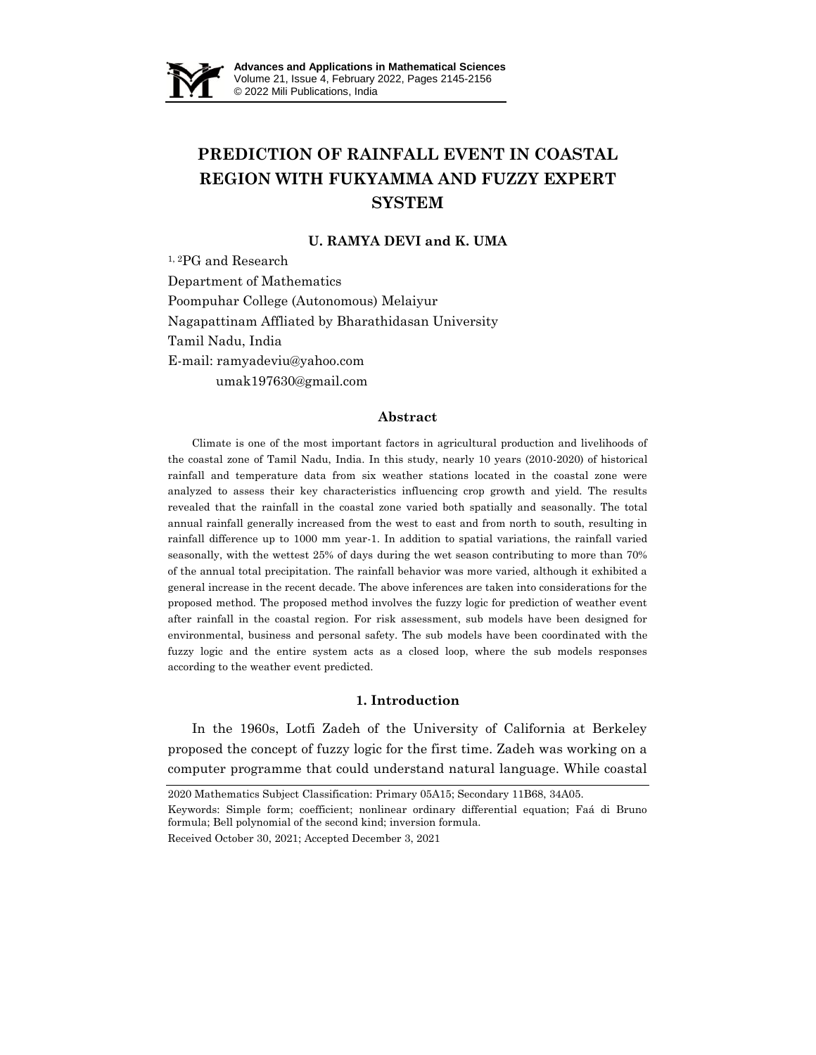

# **PREDICTION OF RAINFALL EVENT IN COASTAL REGION WITH FUKYAMMA AND FUZZY EXPERT SYSTEM**

## **U. RAMYA DEVI and K. UMA**

1, 2PG and Research Department of Mathematics Poompuhar College (Autonomous) Melaiyur Nagapattinam Affliated by Bharathidasan University Tamil Nadu, India E-mail: ramyadeviu@yahoo.com umak197630@gmail.com

### **Abstract**

Climate is one of the most important factors in agricultural production and livelihoods of the coastal zone of Tamil Nadu, India. In this study, nearly 10 years (2010-2020) of historical rainfall and temperature data from six weather stations located in the coastal zone were analyzed to assess their key characteristics influencing crop growth and yield. The results revealed that the rainfall in the coastal zone varied both spatially and seasonally. The total annual rainfall generally increased from the west to east and from north to south, resulting in rainfall difference up to 1000 mm year-1. In addition to spatial variations, the rainfall varied seasonally, with the wettest 25% of days during the wet season contributing to more than 70% of the annual total precipitation. The rainfall behavior was more varied, although it exhibited a general increase in the recent decade. The above inferences are taken into considerations for the proposed method. The proposed method involves the fuzzy logic for prediction of weather event after rainfall in the coastal region. For risk assessment, sub models have been designed for environmental, business and personal safety. The sub models have been coordinated with the fuzzy logic and the entire system acts as a closed loop, where the sub models responses according to the weather event predicted.

#### **1. Introduction**

In the 1960s, Lotfi Zadeh of the University of California at Berkeley proposed the concept of fuzzy logic for the first time. Zadeh was working on a computer programme that could understand natural language. While coastal

2020 Mathematics Subject Classification: Primary 05A15; Secondary 11B68, 34A05.

Received October 30, 2021; Accepted December 3, 2021

Keywords: Simple form; coefficient; nonlinear ordinary differential equation; Faá di Bruno formula; Bell polynomial of the second kind; inversion formula.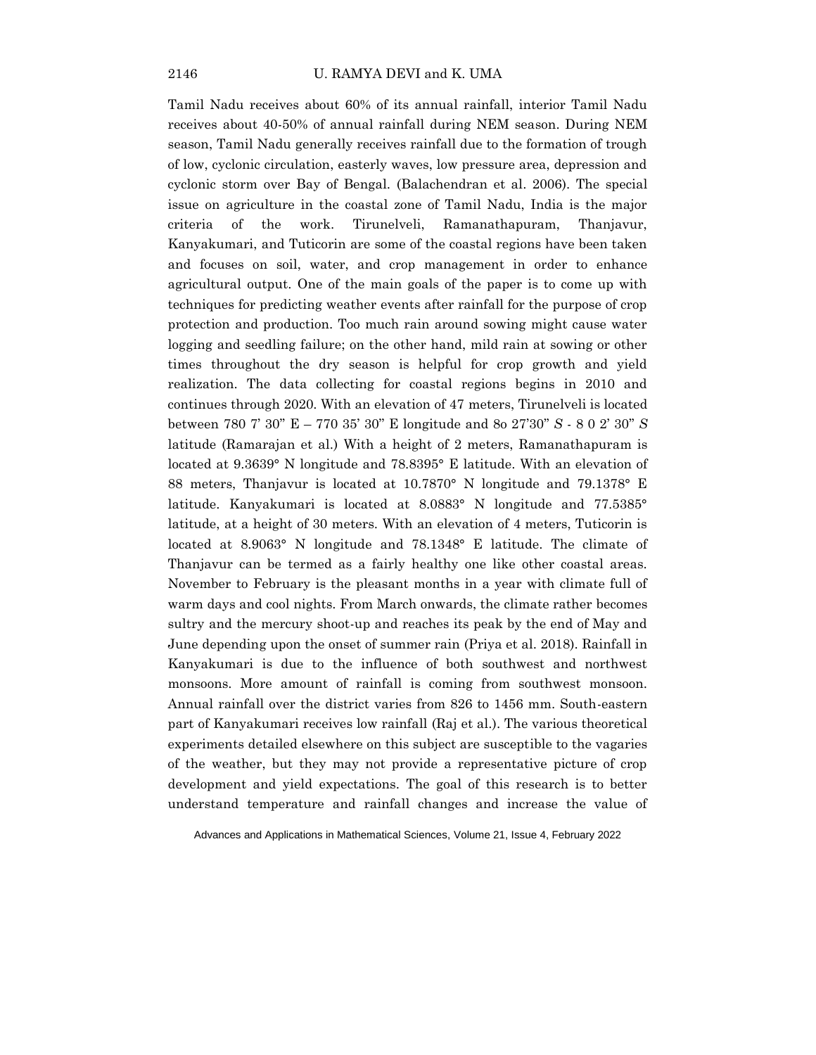Tamil Nadu receives about 60% of its annual rainfall, interior Tamil Nadu receives about 40-50% of annual rainfall during NEM season. During NEM season, Tamil Nadu generally receives rainfall due to the formation of trough of low, cyclonic circulation, easterly waves, low pressure area, depression and cyclonic storm over Bay of Bengal. (Balachendran et al. 2006). The special issue on agriculture in the coastal zone of Tamil Nadu, India is the major criteria of the work. Tirunelveli, Ramanathapuram, Thanjavur, Kanyakumari, and Tuticorin are some of the coastal regions have been taken and focuses on soil, water, and crop management in order to enhance agricultural output. One of the main goals of the paper is to come up with techniques for predicting weather events after rainfall for the purpose of crop protection and production. Too much rain around sowing might cause water logging and seedling failure; on the other hand, mild rain at sowing or other times throughout the dry season is helpful for crop growth and yield realization. The data collecting for coastal regions begins in 2010 and continues through 2020. With an elevation of 47 meters, Tirunelveli is located between 780 7" 30"" E – 770 35" 30"" E longitude and 8o 27"30"" *S* - 8 0 2" 30"" *S* latitude (Ramarajan et al.) With a height of 2 meters, Ramanathapuram is located at 9.3639° N longitude and 78.8395° E latitude. With an elevation of 88 meters, Thanjavur is located at 10.7870° N longitude and 79.1378° E latitude. Kanyakumari is located at 8.0883° N longitude and 77.5385° latitude, at a height of 30 meters. With an elevation of 4 meters, Tuticorin is located at 8.9063° N longitude and 78.1348° E latitude. The climate of Thanjavur can be termed as a fairly healthy one like other coastal areas. November to February is the pleasant months in a year with climate full of warm days and cool nights. From March onwards, the climate rather becomes sultry and the mercury shoot-up and reaches its peak by the end of May and June depending upon the onset of summer rain (Priya et al. 2018). Rainfall in Kanyakumari is due to the influence of both southwest and northwest monsoons. More amount of rainfall is coming from southwest monsoon. Annual rainfall over the district varies from 826 to 1456 mm. South-eastern part of Kanyakumari receives low rainfall (Raj et al.). The various theoretical experiments detailed elsewhere on this subject are susceptible to the vagaries of the weather, but they may not provide a representative picture of crop development and yield expectations. The goal of this research is to better understand temperature and rainfall changes and increase the value of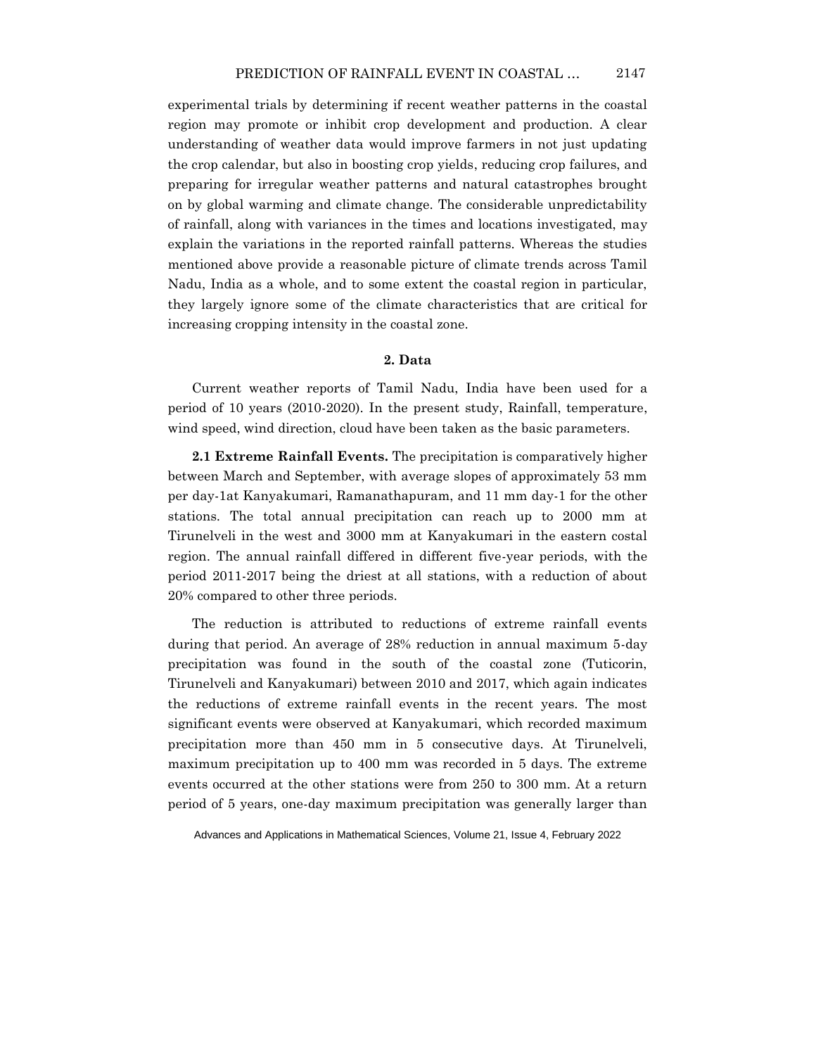experimental trials by determining if recent weather patterns in the coastal region may promote or inhibit crop development and production. A clear understanding of weather data would improve farmers in not just updating the crop calendar, but also in boosting crop yields, reducing crop failures, and preparing for irregular weather patterns and natural catastrophes brought on by global warming and climate change. The considerable unpredictability of rainfall, along with variances in the times and locations investigated, may explain the variations in the reported rainfall patterns. Whereas the studies mentioned above provide a reasonable picture of climate trends across Tamil Nadu, India as a whole, and to some extent the coastal region in particular, they largely ignore some of the climate characteristics that are critical for increasing cropping intensity in the coastal zone.

### **2. Data**

Current weather reports of Tamil Nadu, India have been used for a period of 10 years (2010-2020). In the present study, Rainfall, temperature, wind speed, wind direction, cloud have been taken as the basic parameters.

**2.1 Extreme Rainfall Events.** The precipitation is comparatively higher between March and September, with average slopes of approximately 53 mm per day-1at Kanyakumari, Ramanathapuram, and 11 mm day-1 for the other stations. The total annual precipitation can reach up to 2000 mm at Tirunelveli in the west and 3000 mm at Kanyakumari in the eastern costal region. The annual rainfall differed in different five-year periods, with the period 2011-2017 being the driest at all stations, with a reduction of about 20% compared to other three periods.

The reduction is attributed to reductions of extreme rainfall events during that period. An average of 28% reduction in annual maximum 5-day precipitation was found in the south of the coastal zone (Tuticorin, Tirunelveli and Kanyakumari) between 2010 and 2017, which again indicates the reductions of extreme rainfall events in the recent years. The most significant events were observed at Kanyakumari, which recorded maximum precipitation more than 450 mm in 5 consecutive days. At Tirunelveli, maximum precipitation up to 400 mm was recorded in 5 days. The extreme events occurred at the other stations were from 250 to 300 mm. At a return period of 5 years, one-day maximum precipitation was generally larger than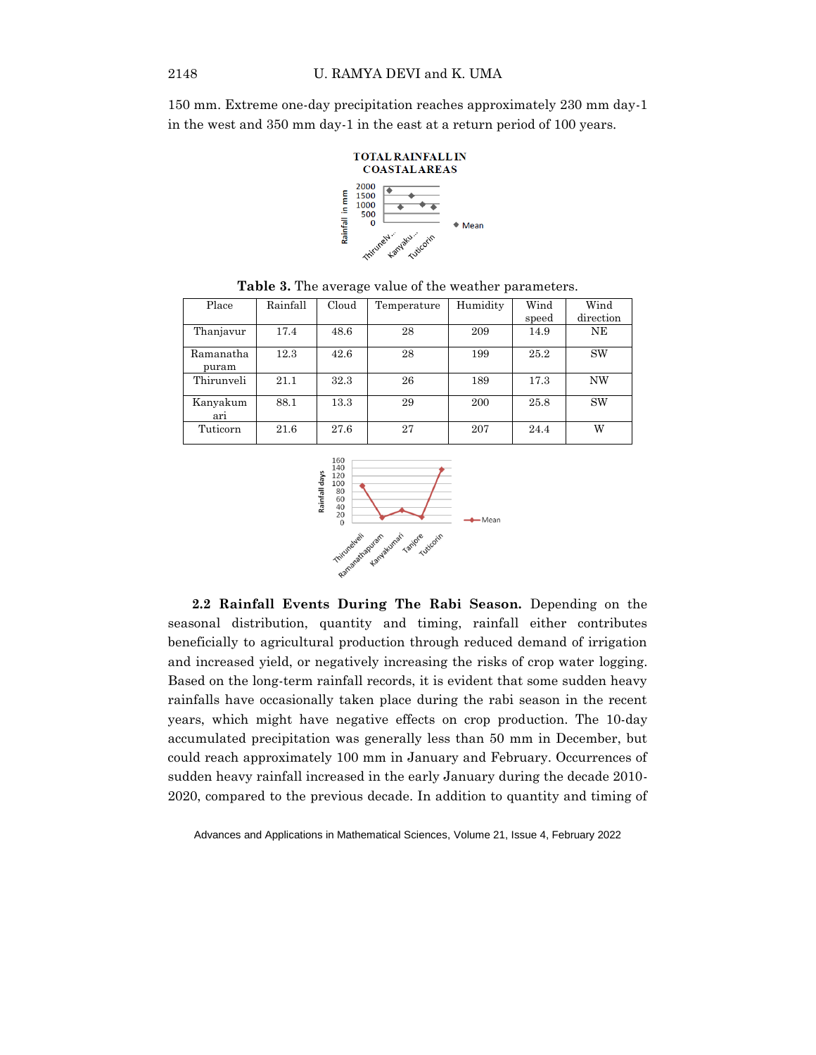150 mm. Extreme one-day precipitation reaches approximately 230 mm day-1 in the west and 350 mm day-1 in the east at a return period of 100 years.



| Place              | Rainfall | Cloud | Temperature | Humidity | Wind  | Wind      |
|--------------------|----------|-------|-------------|----------|-------|-----------|
|                    |          |       |             |          | speed | direction |
| Thanjavur          | 17.4     | 48.6  | 28          | 209      | 14.9  | NΕ        |
| Ramanatha<br>puram | 12.3     | 42.6  | 28          | 199      | 25.2  | <b>SW</b> |
| Thirunveli         | 21.1     | 32.3  | 26          | 189      | 17.3  | NW        |
| Kanyakum<br>arı    | 88.1     | 13.3  | 29          | 200      | 25.8  | <b>SW</b> |
| Tuticorn           | 21.6     | 27.6  | 27          | 207      | 24.4  | W         |

**Table 3.** The average value of the weather parameters.



**2.2 Rainfall Events During The Rabi Season.** Depending on the seasonal distribution, quantity and timing, rainfall either contributes beneficially to agricultural production through reduced demand of irrigation and increased yield, or negatively increasing the risks of crop water logging. Based on the long-term rainfall records, it is evident that some sudden heavy rainfalls have occasionally taken place during the rabi season in the recent years, which might have negative effects on crop production. The 10-day accumulated precipitation was generally less than 50 mm in December, but could reach approximately 100 mm in January and February. Occurrences of sudden heavy rainfall increased in the early January during the decade 2010- 2020, compared to the previous decade. In addition to quantity and timing of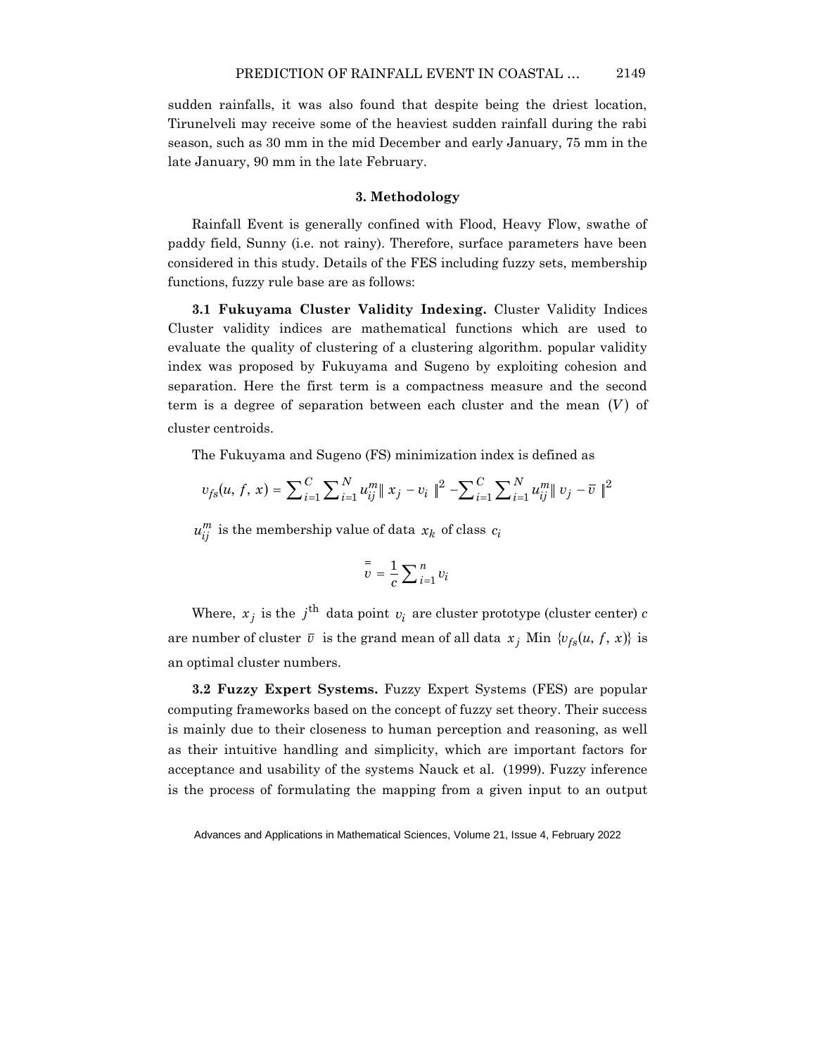sudden rainfalls, it was also found that despite being the driest location, Tirunelveli may receive some of the heaviest sudden rainfall during the rabi season, such as 30 mm in the mid December and early January, 75 mm in the late January, 90 mm in the late February.

## **3. Methodology**

Rainfall Event is generally confined with Flood, Heavy Flow, swathe of paddy field, Sunny (i.e. not rainy). Therefore, surface parameters have been considered in this study. Details of the FES including fuzzy sets, membership functions, fuzzy rule base are as follows:

**3.1 Fukuyama Cluster Validity Indexing.** Cluster Validity Indices Cluster validity indices are mathematical functions which are used to evaluate the quality of clustering of a clustering algorithm. popular validity index was proposed by Fukuyama and Sugeno by exploiting cohesion and separation. Here the first term is a compactness measure and the second term is a degree of separation between each cluster and the mean  $(V)$  of cluster centroids.

The Fukuyama and Sugeno (FS) minimization index is defined as

$$
v_{fs}(u, f, x) = \sum_{i=1}^{C} \sum_{i=1}^{N} u_{ij}^{m} ||x_j - v_i||^2 - \sum_{i=1}^{C} \sum_{i=1}^{N} u_{ij}^{m} ||v_j - \overline{v}||^2
$$

 $u_{ij}^m$  is the membership value of data  $x_k$  of class  $c_i$ 

$$
\overline{v} = \frac{1}{c} \sum_{i=1}^{n} v_i
$$

Where,  $x_j$  is the  $j^{\text{th}}$  data point  $v_i$  are cluster prototype (cluster center)  $c$ are number of cluster  $\bar{v}$  is the grand mean of all data  $x_j$  Min  $\{v_{fs}(u, f, x)\}$  is an optimal cluster numbers.

**3.2 Fuzzy Expert Systems.** Fuzzy Expert Systems (FES) are popular computing frameworks based on the concept of fuzzy set theory. Their success is mainly due to their closeness to human perception and reasoning, as well as their intuitive handling and simplicity, which are important factors for acceptance and usability of the systems Nauck et al. (1999). Fuzzy inference is the process of formulating the mapping from a given input to an output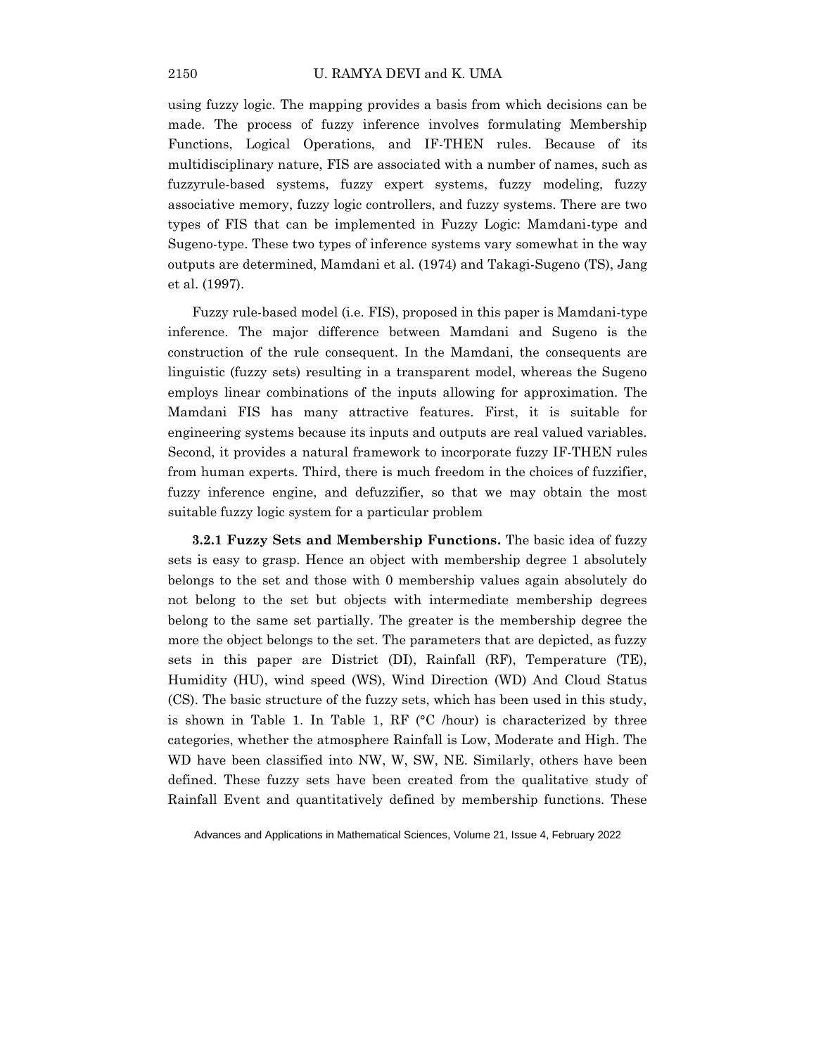using fuzzy logic. The mapping provides a basis from which decisions can be made. The process of fuzzy inference involves formulating Membership Functions, Logical Operations, and IF-THEN rules. Because of its multidisciplinary nature, FIS are associated with a number of names, such as fuzzyrule-based systems, fuzzy expert systems, fuzzy modeling, fuzzy associative memory, fuzzy logic controllers, and fuzzy systems. There are two types of FIS that can be implemented in Fuzzy Logic: Mamdani-type and Sugeno-type. These two types of inference systems vary somewhat in the way outputs are determined, Mamdani et al. (1974) and Takagi-Sugeno (TS), Jang et al. (1997).

Fuzzy rule-based model (i.e. FIS), proposed in this paper is Mamdani-type inference. The major difference between Mamdani and Sugeno is the construction of the rule consequent. In the Mamdani, the consequents are linguistic (fuzzy sets) resulting in a transparent model, whereas the Sugeno employs linear combinations of the inputs allowing for approximation. The Mamdani FIS has many attractive features. First, it is suitable for engineering systems because its inputs and outputs are real valued variables. Second, it provides a natural framework to incorporate fuzzy IF-THEN rules from human experts. Third, there is much freedom in the choices of fuzzifier, fuzzy inference engine, and defuzzifier, so that we may obtain the most suitable fuzzy logic system for a particular problem

**3.2.1 Fuzzy Sets and Membership Functions.** The basic idea of fuzzy sets is easy to grasp. Hence an object with membership degree 1 absolutely belongs to the set and those with 0 membership values again absolutely do not belong to the set but objects with intermediate membership degrees belong to the same set partially. The greater is the membership degree the more the object belongs to the set. The parameters that are depicted, as fuzzy sets in this paper are District (DI), Rainfall (RF), Temperature (TE), Humidity (HU), wind speed (WS), Wind Direction (WD) And Cloud Status (CS). The basic structure of the fuzzy sets, which has been used in this study, is shown in Table 1. In Table 1, RF  $(°C / hour)$  is characterized by three categories, whether the atmosphere Rainfall is Low, Moderate and High. The WD have been classified into NW, W, SW, NE. Similarly, others have been defined. These fuzzy sets have been created from the qualitative study of Rainfall Event and quantitatively defined by membership functions. These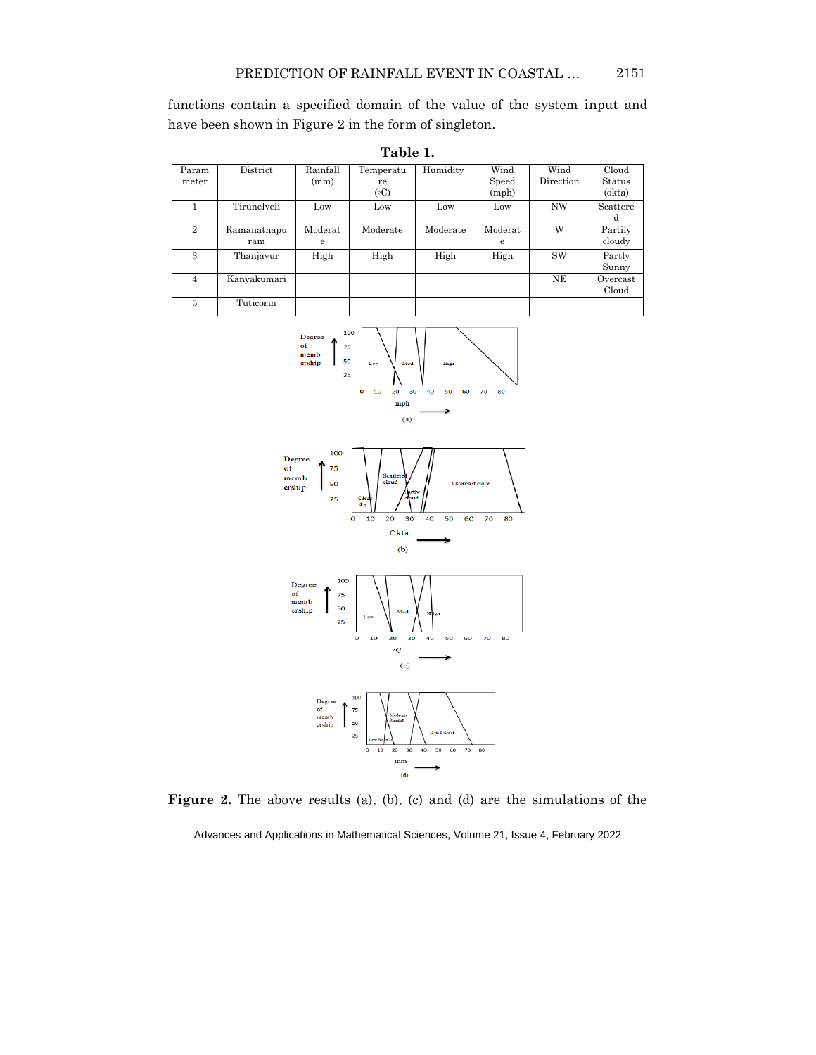functions contain a specified domain of the value of the system input and have been shown in Figure 2 in the form of singleton.

| Param<br>meter | District           | Rainfall<br>(mm) | Temperatu<br>re<br>$({\circ}C)$ | Humidity | Wind<br>Speed<br>(mph) | Wind<br>Direction | Cloud<br>Status<br>(okta) |
|----------------|--------------------|------------------|---------------------------------|----------|------------------------|-------------------|---------------------------|
|                | Tirunelveli        | Low              | Low                             | Low      | Low                    | <b>NW</b>         | Scattere<br>d             |
| $\overline{2}$ | Ramanathapu<br>ram | Moderat<br>e     | Moderate                        | Moderate | Moderat<br>e           | W                 | Partily<br>cloudy         |
| 3              | Thanjavur          | High             | High                            | High     | High                   | <b>SW</b>         | Partly<br>Sunny           |
| $\overline{4}$ | Kanyakumari        |                  |                                 |          |                        | NE                | Overcast<br>Cloud         |
| 5              | Tuticorin          |                  |                                 |          |                        |                   |                           |









Figure 2. The above results (a), (b), (c) and (d) are the simulations of the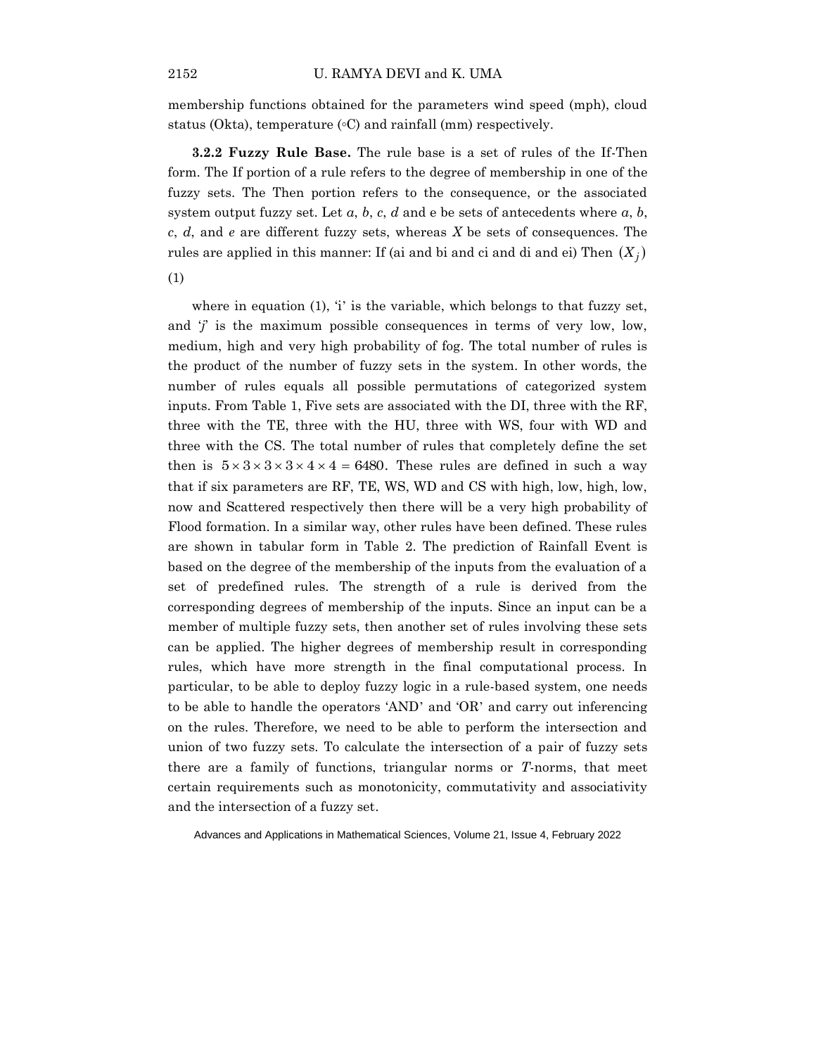membership functions obtained for the parameters wind speed (mph), cloud status (Okta), temperature  $(\circ C)$  and rainfall (mm) respectively.

**3.2.2 Fuzzy Rule Base.** The rule base is a set of rules of the If-Then form. The If portion of a rule refers to the degree of membership in one of the fuzzy sets. The Then portion refers to the consequence, or the associated system output fuzzy set. Let  $a, b, c, d$  and  $e$  be sets of antecedents where  $a, b$ , *c*, *d*, and *e* are different fuzzy sets, whereas *X* be sets of consequences. The rules are applied in this manner: If (ai and bi and ci and di and ei) Then  $(X_j)$ 

(1)

where in equation  $(1)$ ,  $i'$  is the variable, which belongs to that fuzzy set, and  $\ddot{j}$  is the maximum possible consequences in terms of very low, low, medium, high and very high probability of fog. The total number of rules is the product of the number of fuzzy sets in the system. In other words, the number of rules equals all possible permutations of categorized system inputs. From Table 1, Five sets are associated with the DI, three with the RF, three with the TE, three with the HU, three with WS, four with WD and three with the CS. The total number of rules that completely define the set then is  $5 \times 3 \times 3 \times 4 \times 4 = 6480$ . These rules are defined in such a way that if six parameters are RF, TE, WS, WD and CS with high, low, high, low, now and Scattered respectively then there will be a very high probability of Flood formation. In a similar way, other rules have been defined. These rules are shown in tabular form in Table 2. The prediction of Rainfall Event is based on the degree of the membership of the inputs from the evaluation of a set of predefined rules. The strength of a rule is derived from the corresponding degrees of membership of the inputs. Since an input can be a member of multiple fuzzy sets, then another set of rules involving these sets can be applied. The higher degrees of membership result in corresponding rules, which have more strength in the final computational process. In particular, to be able to deploy fuzzy logic in a rule-based system, one needs to be able to handle the operators 'AND' and 'OR' and carry out inferencing on the rules. Therefore, we need to be able to perform the intersection and union of two fuzzy sets. To calculate the intersection of a pair of fuzzy sets there are a family of functions, triangular norms or *T*-norms, that meet certain requirements such as monotonicity, commutativity and associativity and the intersection of a fuzzy set.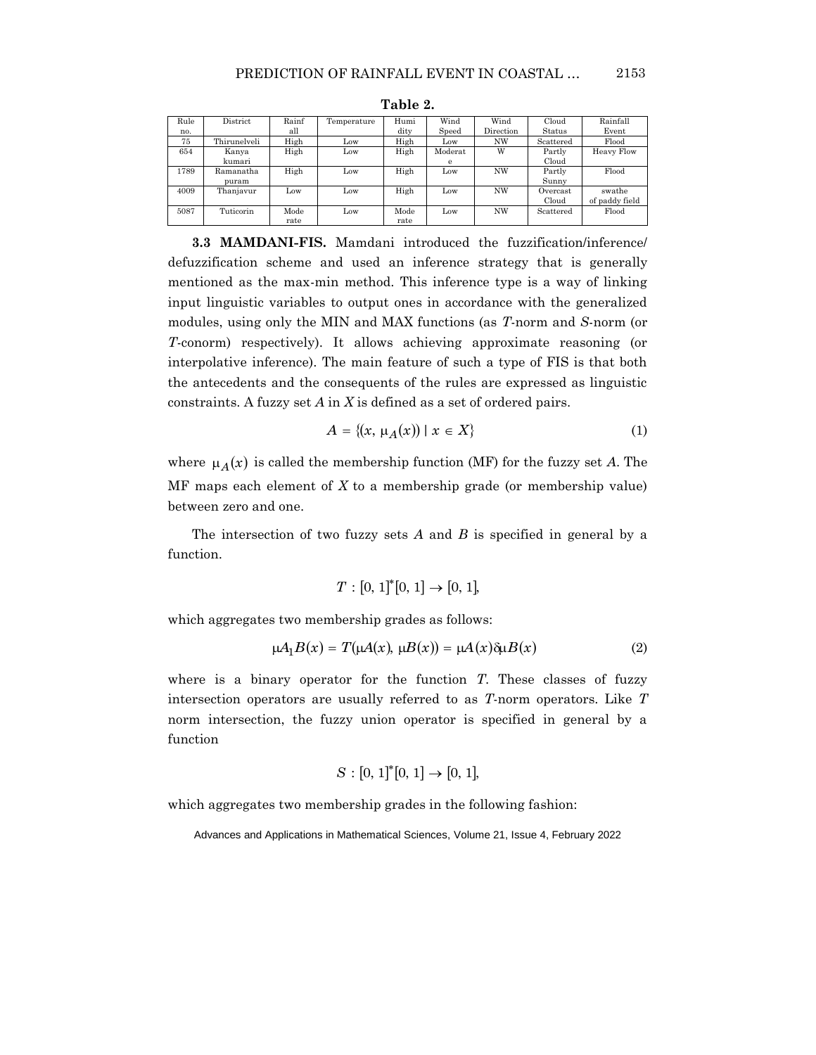| Rule | District     | Rainf | Temperature | Humi | Wind    | Wind      | Cloud     | Rainfall          |
|------|--------------|-------|-------------|------|---------|-----------|-----------|-------------------|
| no.  |              | all   |             | dity | Speed   | Direction | Status    | Event             |
| 75   | Thirunelveli | High  | Low         | High | Low     | <b>NW</b> | Scattered | Flood             |
| 654  | Kanya        | High  | Low         | High | Moderat | W         | Partly    | <b>Heavy Flow</b> |
|      | kumari       |       |             |      | е       |           | Cloud     |                   |
| 1789 | Ramanatha    | High  | Low         | High | Low     | <b>NW</b> | Partly    | Flood             |
|      | puram        |       |             |      |         |           | Sunny     |                   |
| 4009 | Thaniavur    | Low   | Low         | High | Low     | <b>NW</b> | Overcast  | swathe            |
|      |              |       |             |      |         |           | Cloud     | of paddy field    |
| 5087 | Tuticorin    | Mode  | Low         | Mode | Low     | <b>NW</b> | Scattered | Flood             |
|      |              | rate  |             | rate |         |           |           |                   |

**Table 2.**

**3.3 MAMDANI-FIS.** Mamdani introduced the fuzzification/inference/ defuzzification scheme and used an inference strategy that is generally mentioned as the max-min method. This inference type is a way of linking input linguistic variables to output ones in accordance with the generalized modules, using only the MIN and MAX functions (as *T*-norm and *S*-norm (or *T*-conorm) respectively). It allows achieving approximate reasoning (or interpolative inference). The main feature of such a type of FIS is that both the antecedents and the consequents of the rules are expressed as linguistic constraints. A fuzzy set *A* in *X* is defined as a set of ordered pairs.

$$
A = \{(x, \mu_A(x)) \mid x \in X\}
$$
 (1)

where  $\mu_A(x)$  is called the membership function (MF) for the fuzzy set *A*. The MF maps each element of *X* to a membership grade (or membership value) between zero and one.

The intersection of two fuzzy sets *A* and *B* is specified in general by a function.

$$
T: [0, 1]^*[0, 1] \to [0, 1],
$$

which aggregates two membership grades as follows:

$$
\mu A_1 B(x) = T(\mu A(x), \mu B(x)) = \mu A(x) \delta \mu B(x) \tag{2}
$$

where is a binary operator for the function *T*. These classes of fuzzy intersection operators are usually referred to as *T*-norm operators. Like *T* norm intersection, the fuzzy union operator is specified in general by a function

$$
S: [0, 1]^*[0, 1] \to [0, 1],
$$

which aggregates two membership grades in the following fashion: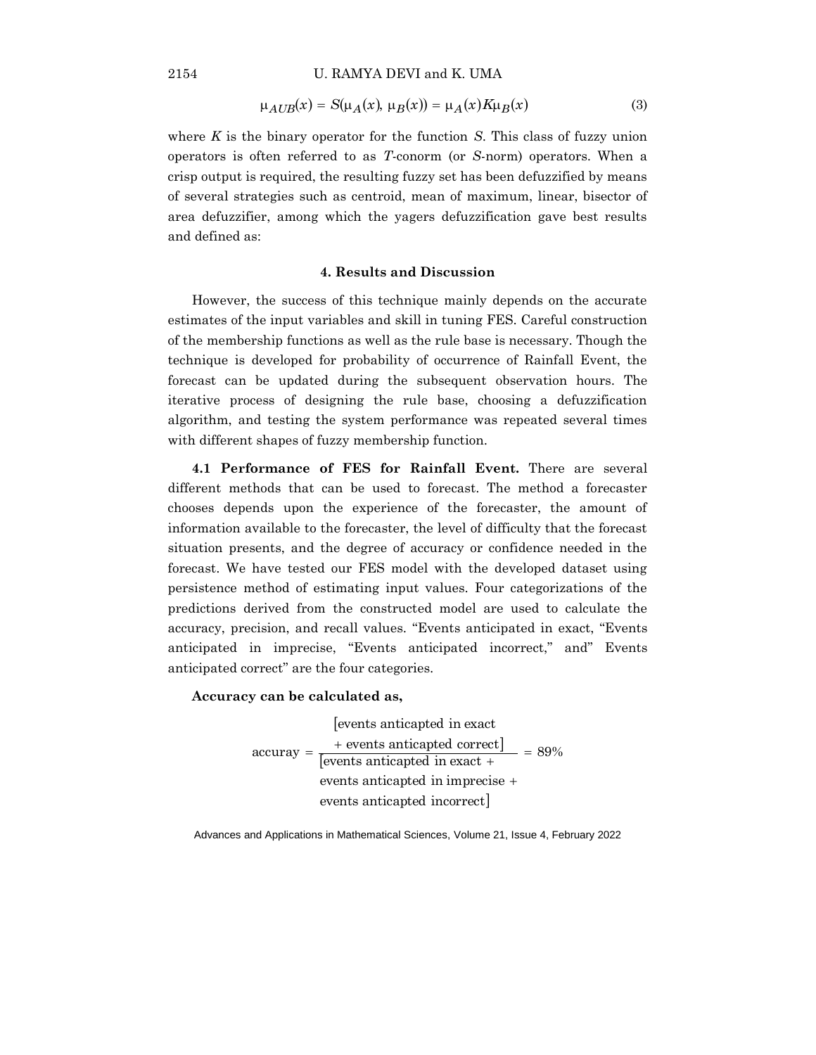U. RAMYA DEVI and K. UMA

$$
\mu_{AUB}(x) = S(\mu_A(x), \mu_B(x)) = \mu_A(x) K \mu_B(x)
$$
\n(3)

where *K* is the binary operator for the function *S*. This class of fuzzy union operators is often referred to as *T*-conorm (or *S*-norm) operators. When a crisp output is required, the resulting fuzzy set has been defuzzified by means of several strategies such as centroid, mean of maximum, linear, bisector of area defuzzifier, among which the yagers defuzzification gave best results and defined as:

## **4. Results and Discussion**

However, the success of this technique mainly depends on the accurate estimates of the input variables and skill in tuning FES. Careful construction of the membership functions as well as the rule base is necessary. Though the technique is developed for probability of occurrence of Rainfall Event, the forecast can be updated during the subsequent observation hours. The iterative process of designing the rule base, choosing a defuzzification algorithm, and testing the system performance was repeated several times with different shapes of fuzzy membership function.

**4.1 Performance of FES for Rainfall Event.** There are several different methods that can be used to forecast. The method a forecaster chooses depends upon the experience of the forecaster, the amount of information available to the forecaster, the level of difficulty that the forecast situation presents, and the degree of accuracy or confidence needed in the forecast. We have tested our FES model with the developed dataset using persistence method of estimating input values. Four categorizations of the predictions derived from the constructed model are used to calculate the accuracy, precision, and recall values. "Events anticipated in exact, "Events anticipated in imprecise, "Events anticipated incorrect," and" Events anticipated correct" are the four categories.

#### **Accuracy can be calculated as,**

 events anticapted in exact 1 events anticapted in exact events anticapted incorrect  $= 89%$ events anticapted in imprecise  $\text{accuracy} = \frac{+ \text{ events anticipated correct}}{\text{[events anticipated in exact +}} =$  $= -\frac{+}{1}$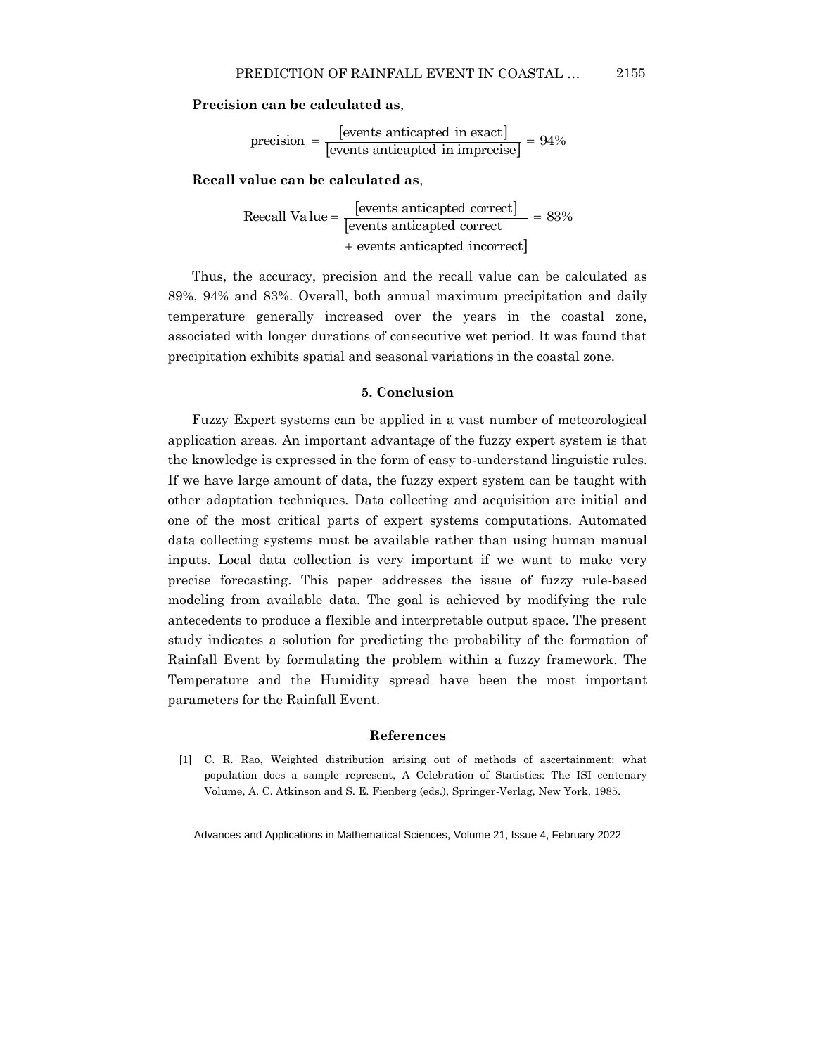**Precision can be calculated as**,

[events anticapted in exact] precision  $=$   $\frac{[events\ anticapted\ in\ exact]}{[events\ anticapted\ in\ imprecise]} = 94\%$ 

**Recall value can be calculated as**,

[events anticapted correct] Reecall Value =  $\frac{[events\ anticapted\ correct]}{[events\ anticapted\ correct]}$  = 83% 1 events anticapted incorrect  $\ddot{}$ 

Thus, the accuracy, precision and the recall value can be calculated as 89%, 94% and 83%. Overall, both annual maximum precipitation and daily temperature generally increased over the years in the coastal zone, associated with longer durations of consecutive wet period. It was found that precipitation exhibits spatial and seasonal variations in the coastal zone.

## **5. Conclusion**

Fuzzy Expert systems can be applied in a vast number of meteorological application areas. An important advantage of the fuzzy expert system is that the knowledge is expressed in the form of easy to-understand linguistic rules. If we have large amount of data, the fuzzy expert system can be taught with other adaptation techniques. Data collecting and acquisition are initial and one of the most critical parts of expert systems computations. Automated data collecting systems must be available rather than using human manual inputs. Local data collection is very important if we want to make very precise forecasting. This paper addresses the issue of fuzzy rule-based modeling from available data. The goal is achieved by modifying the rule antecedents to produce a flexible and interpretable output space. The present study indicates a solution for predicting the probability of the formation of Rainfall Event by formulating the problem within a fuzzy framework. The Temperature and the Humidity spread have been the most important parameters for the Rainfall Event.

#### **References**

[1] C. R. Rao, Weighted distribution arising out of methods of ascertainment: what population does a sample represent, A Celebration of Statistics: The ISI centenary Volume, A. C. Atkinson and S. E. Fienberg (eds.), Springer-Verlag, New York, 1985.